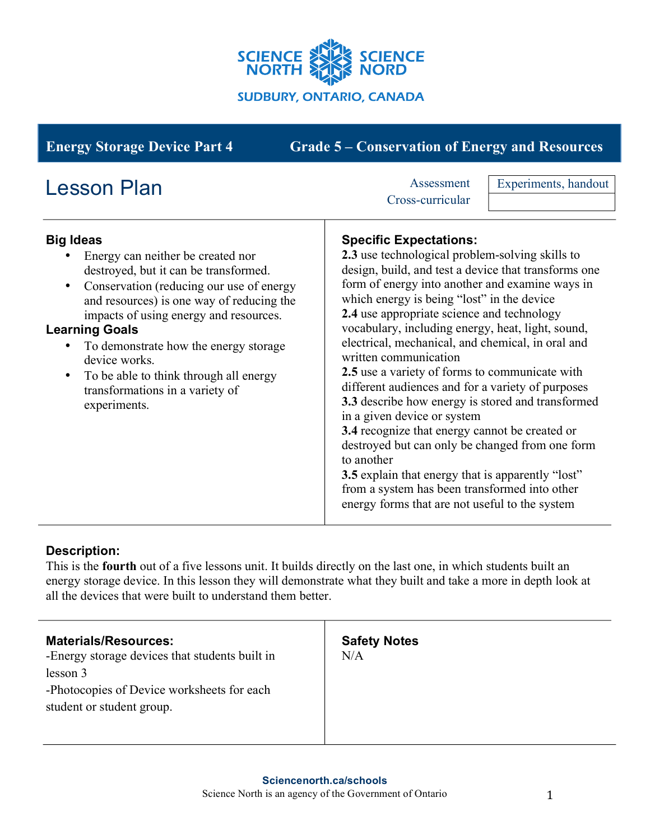

| <b>Grade 5 – Conservation of Energy and Resources</b><br><b>Energy Storage Device Part 4</b>                                                                                                                                                                                                                                                                                                                                                     |                                                                                                                                                                                                                                                                                                                                                                                                                                                                                                                                                                                                                                                                                                                                                                                                                                                                                                         |                      |
|--------------------------------------------------------------------------------------------------------------------------------------------------------------------------------------------------------------------------------------------------------------------------------------------------------------------------------------------------------------------------------------------------------------------------------------------------|---------------------------------------------------------------------------------------------------------------------------------------------------------------------------------------------------------------------------------------------------------------------------------------------------------------------------------------------------------------------------------------------------------------------------------------------------------------------------------------------------------------------------------------------------------------------------------------------------------------------------------------------------------------------------------------------------------------------------------------------------------------------------------------------------------------------------------------------------------------------------------------------------------|----------------------|
| <b>Lesson Plan</b>                                                                                                                                                                                                                                                                                                                                                                                                                               | Assessment<br>Cross-curricular                                                                                                                                                                                                                                                                                                                                                                                                                                                                                                                                                                                                                                                                                                                                                                                                                                                                          | Experiments, handout |
| <b>Big Ideas</b><br>Energy can neither be created nor<br>destroyed, but it can be transformed.<br>Conservation (reducing our use of energy<br>٠<br>and resources) is one way of reducing the<br>impacts of using energy and resources.<br><b>Learning Goals</b><br>To demonstrate how the energy storage<br>$\bullet$<br>device works.<br>To be able to think through all energy<br>$\bullet$<br>transformations in a variety of<br>experiments. | <b>Specific Expectations:</b><br>2.3 use technological problem-solving skills to<br>design, build, and test a device that transforms one<br>form of energy into another and examine ways in<br>which energy is being "lost" in the device<br>2.4 use appropriate science and technology<br>vocabulary, including energy, heat, light, sound,<br>electrical, mechanical, and chemical, in oral and<br>written communication<br>2.5 use a variety of forms to communicate with<br>different audiences and for a variety of purposes<br>3.3 describe how energy is stored and transformed<br>in a given device or system<br>3.4 recognize that energy cannot be created or<br>destroyed but can only be changed from one form<br>to another<br><b>3.5</b> explain that energy that is apparently "lost"<br>from a system has been transformed into other<br>energy forms that are not useful to the system |                      |

### **Description:**

This is the **fourth** out of a five lessons unit. It builds directly on the last one, in which students built an energy storage device. In this lesson they will demonstrate what they built and take a more in depth look at all the devices that were built to understand them better.

| <b>Materials/Resources:</b><br>-Energy storage devices that students built in<br>lesson 3 | <b>Safety Notes</b><br>N/A |
|-------------------------------------------------------------------------------------------|----------------------------|
| -Photocopies of Device worksheets for each<br>student or student group.                   |                            |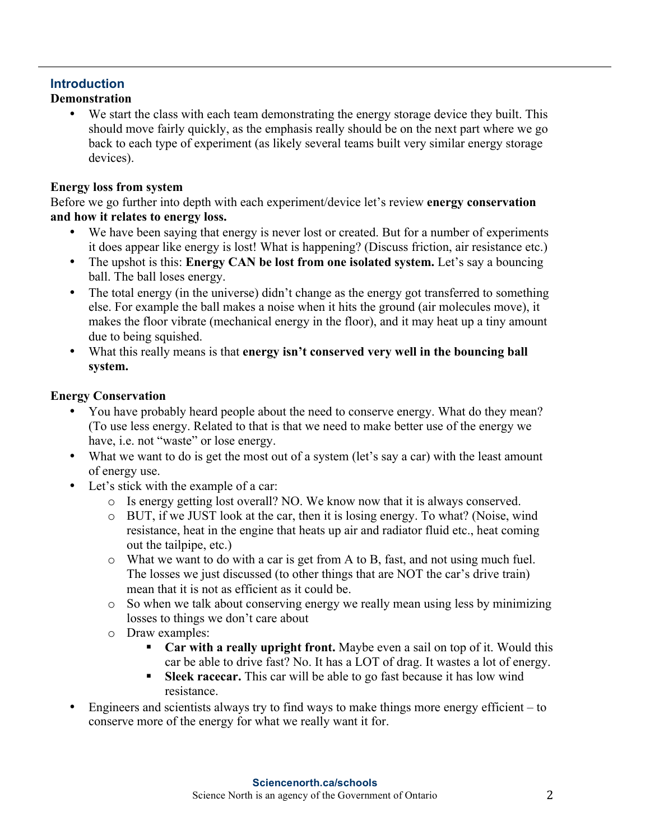# **Introduction**

### **Demonstration**

We start the class with each team demonstrating the energy storage device they built. This should move fairly quickly, as the emphasis really should be on the next part where we go back to each type of experiment (as likely several teams built very similar energy storage devices).

### **Energy loss from system**

Before we go further into depth with each experiment/device let's review **energy conservation and how it relates to energy loss.**

- We have been saying that energy is never lost or created. But for a number of experiments it does appear like energy is lost! What is happening? (Discuss friction, air resistance etc.)
- The upshot is this: **Energy CAN be lost from one isolated system.** Let's say a bouncing ball. The ball loses energy.
- The total energy (in the universe) didn't change as the energy got transferred to something else. For example the ball makes a noise when it hits the ground (air molecules move), it makes the floor vibrate (mechanical energy in the floor), and it may heat up a tiny amount due to being squished.
- What this really means is that **energy isn't conserved very well in the bouncing ball system.**

### **Energy Conservation**

- You have probably heard people about the need to conserve energy. What do they mean? (To use less energy. Related to that is that we need to make better use of the energy we have, i.e. not "waste" or lose energy.
- What we want to do is get the most out of a system (let's say a car) with the least amount of energy use.
- Let's stick with the example of a car:
	- o Is energy getting lost overall? NO. We know now that it is always conserved.
	- o BUT, if we JUST look at the car, then it is losing energy. To what? (Noise, wind resistance, heat in the engine that heats up air and radiator fluid etc., heat coming out the tailpipe, etc.)
	- o What we want to do with a car is get from A to B, fast, and not using much fuel. The losses we just discussed (to other things that are NOT the car's drive train) mean that it is not as efficient as it could be.
	- o So when we talk about conserving energy we really mean using less by minimizing losses to things we don't care about
	- o Draw examples:
		- § **Car with a really upright front.** Maybe even a sail on top of it. Would this car be able to drive fast? No. It has a LOT of drag. It wastes a lot of energy.
		- § **Sleek racecar.** This car will be able to go fast because it has low wind resistance.
- Engineers and scientists always try to find ways to make things more energy efficient to conserve more of the energy for what we really want it for.